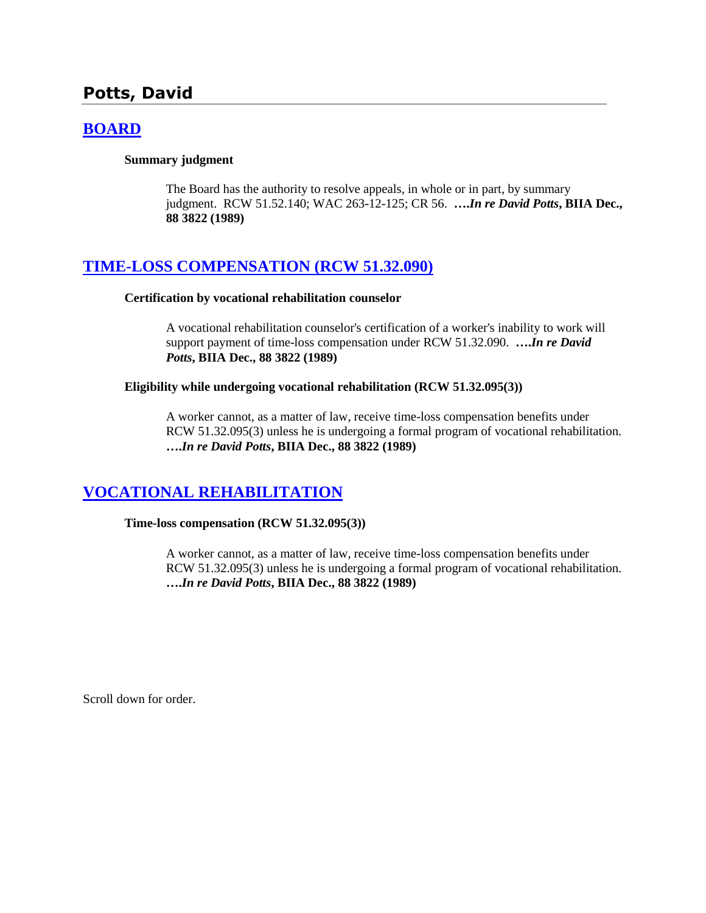# **Potts, David**

## **[BOARD](http://www.biia.wa.gov/SDSubjectIndex.html#BOARD)**

#### **Summary judgment**

The Board has the authority to resolve appeals, in whole or in part, by summary judgment. RCW 51.52.140; WAC 263-12-125; CR 56. **….***In re David Potts***, BIIA Dec., 88 3822 (1989)** 

### **[TIME-LOSS COMPENSATION \(RCW 51.32.090\)](http://www.biia.wa.gov/SDSubjectIndex.html#TIME_LOSS_COMPENSATION)**

#### **Certification by vocational rehabilitation counselor**

A vocational rehabilitation counselor's certification of a worker's inability to work will support payment of time-loss compensation under RCW 51.32.090. **….***In re David Potts***, BIIA Dec., 88 3822 (1989)**

#### **Eligibility while undergoing vocational rehabilitation (RCW 51.32.095(3))**

A worker cannot, as a matter of law, receive time-loss compensation benefits under RCW 51.32.095(3) unless he is undergoing a formal program of vocational rehabilitation. **….***In re David Potts***, BIIA Dec., 88 3822 (1989)** 

## **[VOCATIONAL REHABILITATION](http://www.biia.wa.gov/SDSubjectIndex.html#VOCATIONAL_REHABILITATION)**

**Time-loss compensation (RCW 51.32.095(3))**

A worker cannot, as a matter of law, receive time-loss compensation benefits under RCW 51.32.095(3) unless he is undergoing a formal program of vocational rehabilitation. **….***In re David Potts***, BIIA Dec., 88 3822 (1989)** 

Scroll down for order.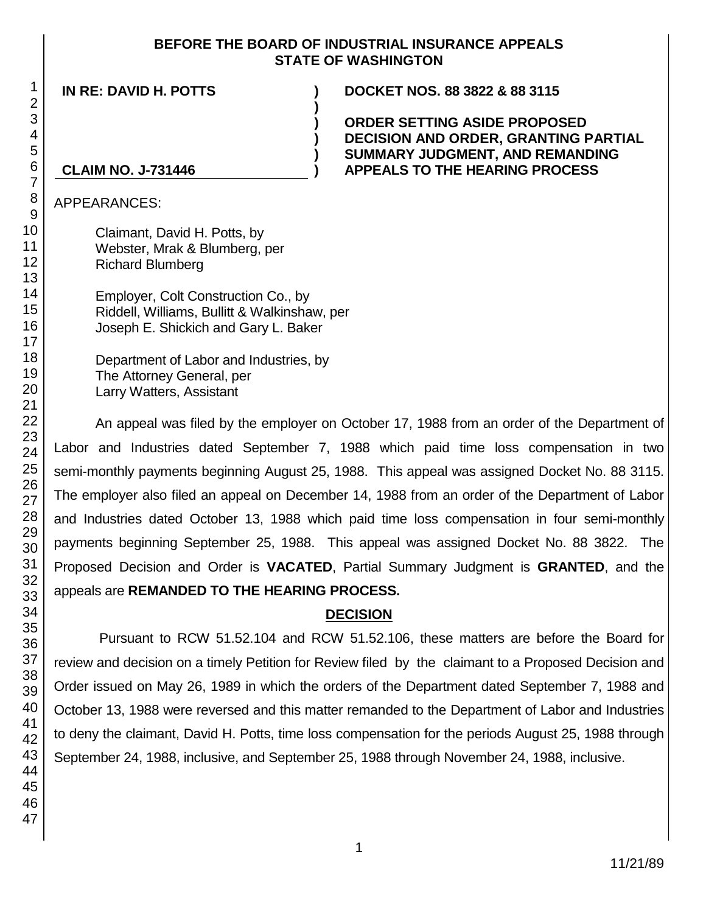### **BEFORE THE BOARD OF INDUSTRIAL INSURANCE APPEALS STATE OF WASHINGTON**

**)**

**) ) ) )**

**IN RE: DAVID H. POTTS ) DOCKET NOS. 88 3822 & 88 3115**

**ORDER SETTING ASIDE PROPOSED DECISION AND ORDER, GRANTING PARTIAL SUMMARY JUDGMENT, AND REMANDING APPEALS TO THE HEARING PROCESS**

### **CLAIM NO. J-731446**

APPEARANCES:

Claimant, David H. Potts, by Webster, Mrak & Blumberg, per Richard Blumberg

Employer, Colt Construction Co., by Riddell, Williams, Bullitt & Walkinshaw, per Joseph E. Shickich and Gary L. Baker

Department of Labor and Industries, by The Attorney General, per Larry Watters, Assistant

An appeal was filed by the employer on October 17, 1988 from an order of the Department of Labor and Industries dated September 7, 1988 which paid time loss compensation in two semi-monthly payments beginning August 25, 1988. This appeal was assigned Docket No. 88 3115. The employer also filed an appeal on December 14, 1988 from an order of the Department of Labor and Industries dated October 13, 1988 which paid time loss compensation in four semi-monthly payments beginning September 25, 1988. This appeal was assigned Docket No. 88 3822. The Proposed Decision and Order is **VACATED**, Partial Summary Judgment is **GRANTED**, and the appeals are **REMANDED TO THE HEARING PROCESS.**

## **DECISION**

Pursuant to RCW 51.52.104 and RCW 51.52.106, these matters are before the Board for review and decision on a timely Petition for Review filed by the claimant to a Proposed Decision and Order issued on May 26, 1989 in which the orders of the Department dated September 7, 1988 and October 13, 1988 were reversed and this matter remanded to the Department of Labor and Industries to deny the claimant, David H. Potts, time loss compensation for the periods August 25, 1988 through September 24, 1988, inclusive, and September 25, 1988 through November 24, 1988, inclusive.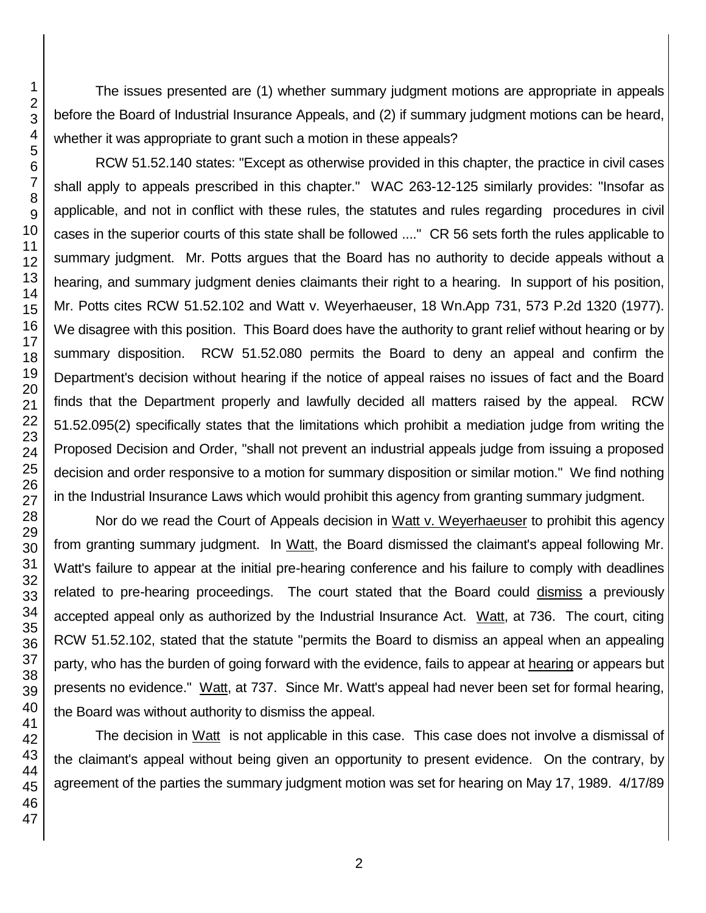The issues presented are (1) whether summary judgment motions are appropriate in appeals before the Board of Industrial Insurance Appeals, and (2) if summary judgment motions can be heard, whether it was appropriate to grant such a motion in these appeals?

RCW 51.52.140 states: "Except as otherwise provided in this chapter, the practice in civil cases shall apply to appeals prescribed in this chapter." WAC 263-12-125 similarly provides: "Insofar as applicable, and not in conflict with these rules, the statutes and rules regarding procedures in civil cases in the superior courts of this state shall be followed ...." CR 56 sets forth the rules applicable to summary judgment. Mr. Potts argues that the Board has no authority to decide appeals without a hearing, and summary judgment denies claimants their right to a hearing. In support of his position, Mr. Potts cites RCW 51.52.102 and Watt v. Weyerhaeuser, 18 Wn.App 731, 573 P.2d 1320 (1977). We disagree with this position. This Board does have the authority to grant relief without hearing or by summary disposition. RCW 51.52.080 permits the Board to deny an appeal and confirm the Department's decision without hearing if the notice of appeal raises no issues of fact and the Board finds that the Department properly and lawfully decided all matters raised by the appeal. RCW 51.52.095(2) specifically states that the limitations which prohibit a mediation judge from writing the Proposed Decision and Order, "shall not prevent an industrial appeals judge from issuing a proposed decision and order responsive to a motion for summary disposition or similar motion." We find nothing in the Industrial Insurance Laws which would prohibit this agency from granting summary judgment.

Nor do we read the Court of Appeals decision in Watt v. Weyerhaeuser to prohibit this agency from granting summary judgment. In Watt, the Board dismissed the claimant's appeal following Mr. Watt's failure to appear at the initial pre-hearing conference and his failure to comply with deadlines related to pre-hearing proceedings. The court stated that the Board could dismiss a previously accepted appeal only as authorized by the Industrial Insurance Act. Watt, at 736. The court, citing RCW 51.52.102, stated that the statute "permits the Board to dismiss an appeal when an appealing party, who has the burden of going forward with the evidence, fails to appear at hearing or appears but presents no evidence." Watt, at 737. Since Mr. Watt's appeal had never been set for formal hearing, the Board was without authority to dismiss the appeal.

The decision in Watt is not applicable in this case. This case does not involve a dismissal of the claimant's appeal without being given an opportunity to present evidence. On the contrary, by agreement of the parties the summary judgment motion was set for hearing on May 17, 1989. 4/17/89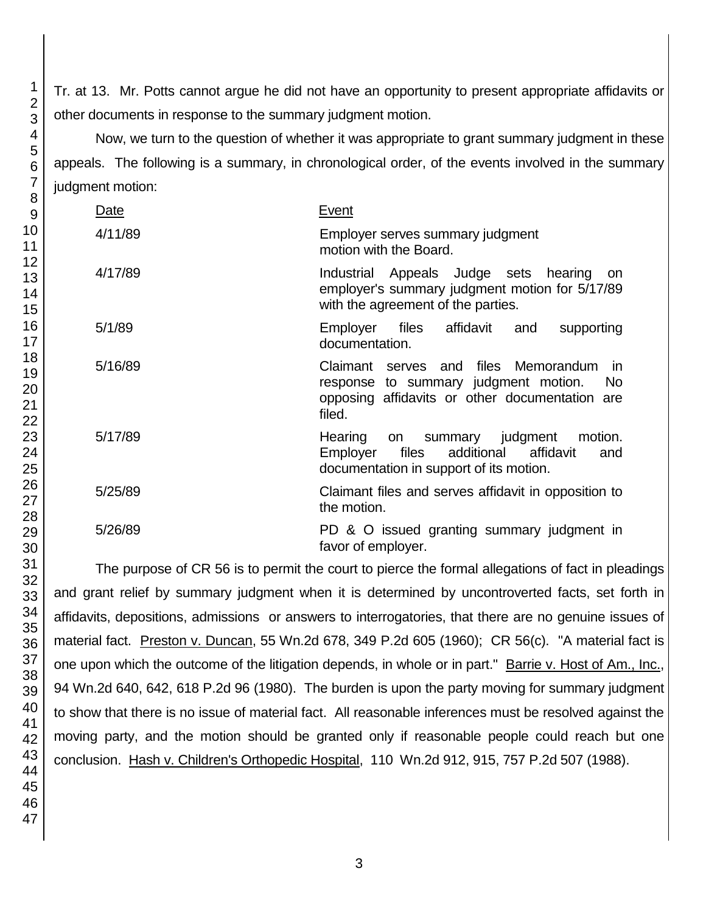Tr. at 13. Mr. Potts cannot argue he did not have an opportunity to present appropriate affidavits or other documents in response to the summary judgment motion.

Now, we turn to the question of whether it was appropriate to grant summary judgment in these appeals. The following is a summary, in chronological order, of the events involved in the summary judgment motion:

| Date    | Event                                                                                                                                                                   |
|---------|-------------------------------------------------------------------------------------------------------------------------------------------------------------------------|
| 4/11/89 | Employer serves summary judgment<br>motion with the Board.                                                                                                              |
| 4/17/89 | Industrial Appeals Judge sets hearing<br>- on<br>employer's summary judgment motion for 5/17/89<br>with the agreement of the parties.                                   |
| 5/1/89  | Employer<br>files<br>affidavit<br>and<br>supporting<br>documentation.                                                                                                   |
| 5/16/89 | Claimant serves and files Memorandum<br><i>in</i><br>response to summary judgment motion.<br>N <sub>o</sub><br>opposing affidavits or other documentation are<br>filed. |
| 5/17/89 | Hearing on summary judgment<br>motion.<br>files<br>additional<br>affidavit<br>Employer<br>and<br>documentation in support of its motion.                                |
| 5/25/89 | Claimant files and serves affidavit in opposition to<br>the motion.                                                                                                     |
| 5/26/89 | PD & O issued granting summary judgment in<br>favor of employer.                                                                                                        |

The purpose of CR 56 is to permit the court to pierce the formal allegations of fact in pleadings and grant relief by summary judgment when it is determined by uncontroverted facts, set forth in affidavits, depositions, admissions or answers to interrogatories, that there are no genuine issues of material fact. Preston v. Duncan, 55 Wn.2d 678, 349 P.2d 605 (1960); CR 56(c). "A material fact is one upon which the outcome of the litigation depends, in whole or in part." Barrie v. Host of Am., Inc., 94 Wn.2d 640, 642, 618 P.2d 96 (1980). The burden is upon the party moving for summary judgment to show that there is no issue of material fact. All reasonable inferences must be resolved against the moving party, and the motion should be granted only if reasonable people could reach but one conclusion. Hash v. Children's Orthopedic Hospital, 110 Wn.2d 912, 915, 757 P.2d 507 (1988).

1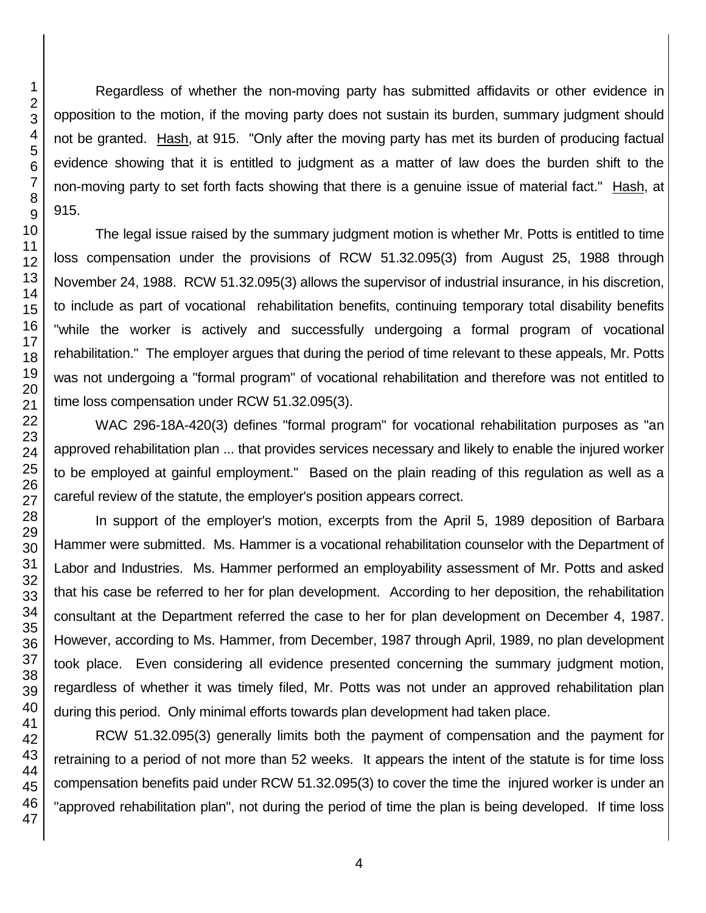Regardless of whether the non-moving party has submitted affidavits or other evidence in opposition to the motion, if the moving party does not sustain its burden, summary judgment should not be granted. Hash, at 915. "Only after the moving party has met its burden of producing factual evidence showing that it is entitled to judgment as a matter of law does the burden shift to the non-moving party to set forth facts showing that there is a genuine issue of material fact." Hash, at 915.

The legal issue raised by the summary judgment motion is whether Mr. Potts is entitled to time loss compensation under the provisions of RCW 51.32.095(3) from August 25, 1988 through November 24, 1988. RCW 51.32.095(3) allows the supervisor of industrial insurance, in his discretion, to include as part of vocational rehabilitation benefits, continuing temporary total disability benefits "while the worker is actively and successfully undergoing a formal program of vocational rehabilitation." The employer argues that during the period of time relevant to these appeals, Mr. Potts was not undergoing a "formal program" of vocational rehabilitation and therefore was not entitled to time loss compensation under RCW 51.32.095(3).

WAC 296-18A-420(3) defines "formal program" for vocational rehabilitation purposes as "an approved rehabilitation plan ... that provides services necessary and likely to enable the injured worker to be employed at gainful employment." Based on the plain reading of this regulation as well as a careful review of the statute, the employer's position appears correct.

In support of the employer's motion, excerpts from the April 5, 1989 deposition of Barbara Hammer were submitted. Ms. Hammer is a vocational rehabilitation counselor with the Department of Labor and Industries. Ms. Hammer performed an employability assessment of Mr. Potts and asked that his case be referred to her for plan development. According to her deposition, the rehabilitation consultant at the Department referred the case to her for plan development on December 4, 1987. However, according to Ms. Hammer, from December, 1987 through April, 1989, no plan development took place. Even considering all evidence presented concerning the summary judgment motion, regardless of whether it was timely filed, Mr. Potts was not under an approved rehabilitation plan during this period. Only minimal efforts towards plan development had taken place.

RCW 51.32.095(3) generally limits both the payment of compensation and the payment for retraining to a period of not more than 52 weeks. It appears the intent of the statute is for time loss compensation benefits paid under RCW 51.32.095(3) to cover the time the injured worker is under an "approved rehabilitation plan", not during the period of time the plan is being developed. If time loss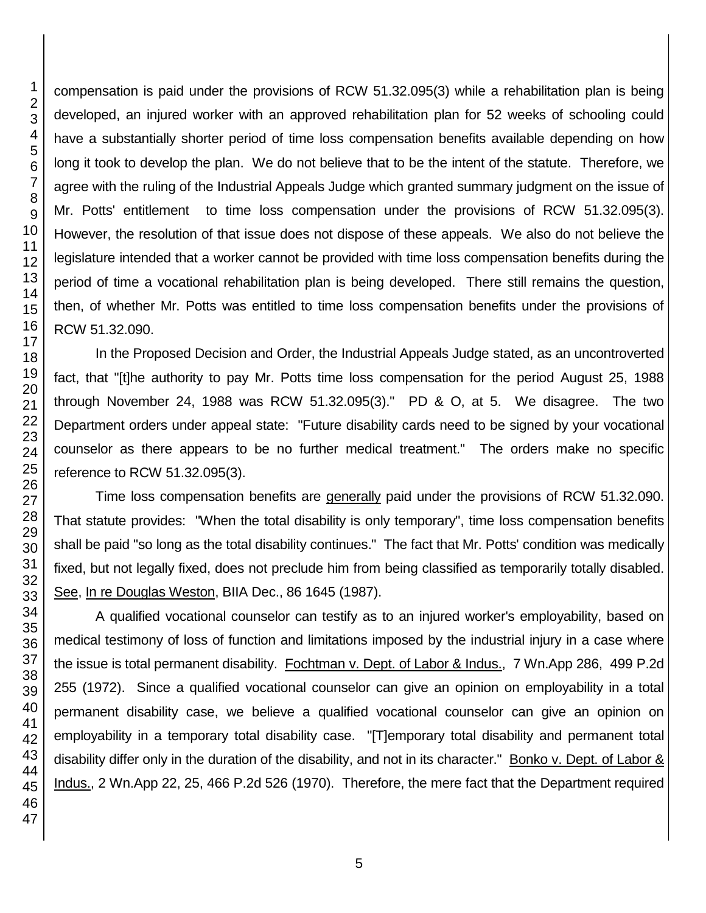compensation is paid under the provisions of RCW 51.32.095(3) while a rehabilitation plan is being developed, an injured worker with an approved rehabilitation plan for 52 weeks of schooling could have a substantially shorter period of time loss compensation benefits available depending on how long it took to develop the plan. We do not believe that to be the intent of the statute. Therefore, we agree with the ruling of the Industrial Appeals Judge which granted summary judgment on the issue of Mr. Potts' entitlement to time loss compensation under the provisions of RCW 51.32.095(3). However, the resolution of that issue does not dispose of these appeals. We also do not believe the legislature intended that a worker cannot be provided with time loss compensation benefits during the period of time a vocational rehabilitation plan is being developed. There still remains the question, then, of whether Mr. Potts was entitled to time loss compensation benefits under the provisions of RCW 51.32.090.

In the Proposed Decision and Order, the Industrial Appeals Judge stated, as an uncontroverted fact, that "[t]he authority to pay Mr. Potts time loss compensation for the period August 25, 1988 through November 24, 1988 was RCW 51.32.095(3)." PD & O, at 5. We disagree. The two Department orders under appeal state: "Future disability cards need to be signed by your vocational counselor as there appears to be no further medical treatment." The orders make no specific reference to RCW 51.32.095(3).

Time loss compensation benefits are generally paid under the provisions of RCW 51.32.090. That statute provides: "When the total disability is only temporary", time loss compensation benefits shall be paid "so long as the total disability continues." The fact that Mr. Potts' condition was medically fixed, but not legally fixed, does not preclude him from being classified as temporarily totally disabled. See, In re Douglas Weston, BIIA Dec., 86 1645 (1987).

A qualified vocational counselor can testify as to an injured worker's employability, based on medical testimony of loss of function and limitations imposed by the industrial injury in a case where the issue is total permanent disability. Fochtman v. Dept. of Labor & Indus., 7 Wn.App 286, 499 P.2d 255 (1972). Since a qualified vocational counselor can give an opinion on employability in a total permanent disability case, we believe a qualified vocational counselor can give an opinion on employability in a temporary total disability case. "[T]emporary total disability and permanent total disability differ only in the duration of the disability, and not in its character." Bonko v. Dept. of Labor & Indus., 2 Wn.App 22, 25, 466 P.2d 526 (1970). Therefore, the mere fact that the Department required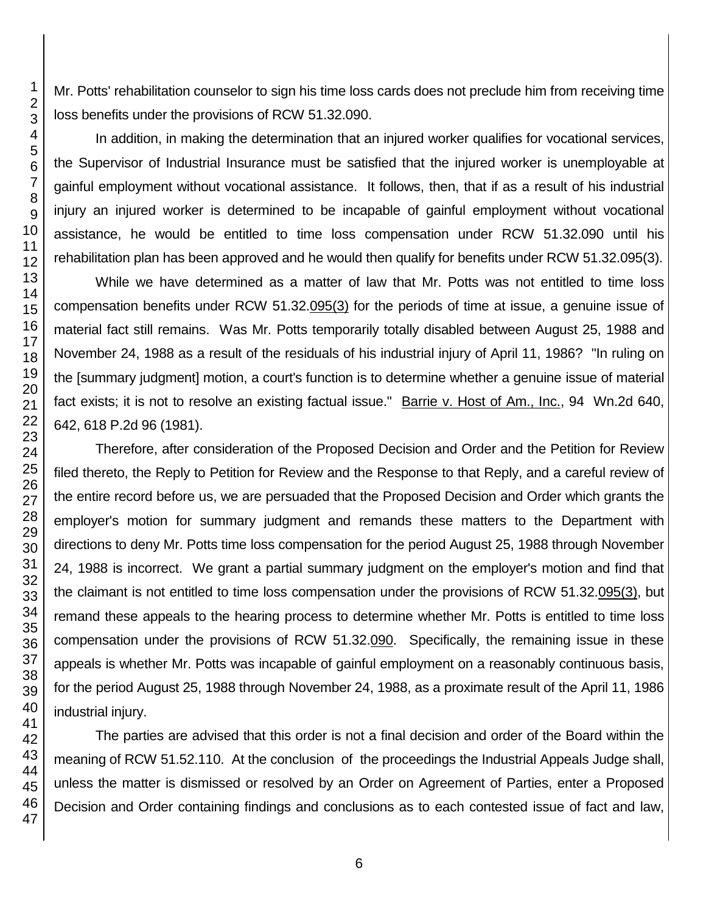Mr. Potts' rehabilitation counselor to sign his time loss cards does not preclude him from receiving time loss benefits under the provisions of RCW 51.32.090.

In addition, in making the determination that an injured worker qualifies for vocational services, the Supervisor of Industrial Insurance must be satisfied that the injured worker is unemployable at gainful employment without vocational assistance. It follows, then, that if as a result of his industrial injury an injured worker is determined to be incapable of gainful employment without vocational assistance, he would be entitled to time loss compensation under RCW 51.32.090 until his rehabilitation plan has been approved and he would then qualify for benefits under RCW 51.32.095(3).

While we have determined as a matter of law that Mr. Potts was not entitled to time loss compensation benefits under RCW 51.32.095(3) for the periods of time at issue, a genuine issue of material fact still remains. Was Mr. Potts temporarily totally disabled between August 25, 1988 and November 24, 1988 as a result of the residuals of his industrial injury of April 11, 1986? "In ruling on the [summary judgment] motion, a court's function is to determine whether a genuine issue of material fact exists; it is not to resolve an existing factual issue." Barrie v. Host of Am., Inc., 94 Wn.2d 640, 642, 618 P.2d 96 (1981).

Therefore, after consideration of the Proposed Decision and Order and the Petition for Review filed thereto, the Reply to Petition for Review and the Response to that Reply, and a careful review of the entire record before us, we are persuaded that the Proposed Decision and Order which grants the employer's motion for summary judgment and remands these matters to the Department with directions to deny Mr. Potts time loss compensation for the period August 25, 1988 through November 24, 1988 is incorrect. We grant a partial summary judgment on the employer's motion and find that the claimant is not entitled to time loss compensation under the provisions of RCW 51.32.095(3), but remand these appeals to the hearing process to determine whether Mr. Potts is entitled to time loss compensation under the provisions of RCW 51.32.090. Specifically, the remaining issue in these appeals is whether Mr. Potts was incapable of gainful employment on a reasonably continuous basis, for the period August 25, 1988 through November 24, 1988, as a proximate result of the April 11, 1986 industrial injury.

The parties are advised that this order is not a final decision and order of the Board within the meaning of RCW 51.52.110. At the conclusion of the proceedings the Industrial Appeals Judge shall, unless the matter is dismissed or resolved by an Order on Agreement of Parties, enter a Proposed Decision and Order containing findings and conclusions as to each contested issue of fact and law,